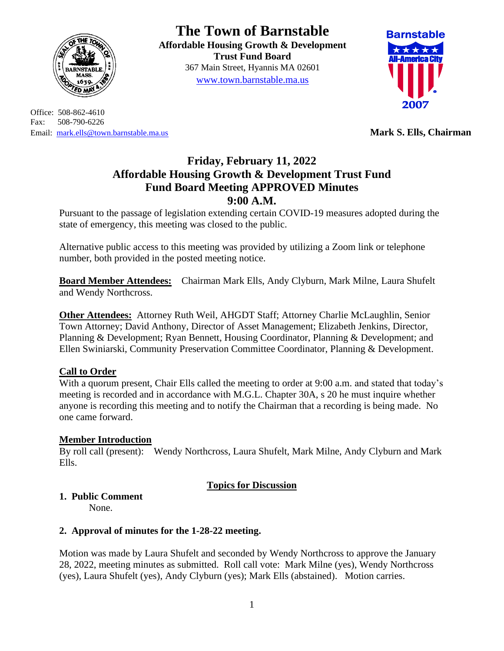

Office: 508-862-4610 Fax: 508-790-6226 Email: [mark.ells@town.barnstable.ma.us](mailto:mark.ells@town.barnstable.ma.us) **Mark S. Ells, Chairman**

# **The Town of Barnstable**

**Affordable Housing Growth & Development Trust Fund Board**  367 Main Street, Hyannis MA 02601 [www.town.barnstable.ma.us](http://www.town.barnstable.ma.us/)



# **Friday, February 11, 2022 Affordable Housing Growth & Development Trust Fund Fund Board Meeting APPROVED Minutes 9:00 A.M.**

Pursuant to the passage of legislation extending certain COVID-19 measures adopted during the state of emergency, this meeting was closed to the public.

Alternative public access to this meeting was provided by utilizing a Zoom link or telephone number, both provided in the posted meeting notice.

**Board Member Attendees:** Chairman Mark Ells, Andy Clyburn, Mark Milne, Laura Shufelt and Wendy Northcross.

**Other Attendees:** Attorney Ruth Weil, AHGDT Staff; Attorney Charlie McLaughlin, Senior Town Attorney; David Anthony, Director of Asset Management; Elizabeth Jenkins, Director, Planning & Development; Ryan Bennett, Housing Coordinator, Planning & Development; and Ellen Swiniarski, Community Preservation Committee Coordinator, Planning & Development.

## **Call to Order**

With a quorum present, Chair Ells called the meeting to order at 9:00 a.m. and stated that today's meeting is recorded and in accordance with M.G.L. Chapter 30A, s 20 he must inquire whether anyone is recording this meeting and to notify the Chairman that a recording is being made. No one came forward.

#### **Member Introduction**

By roll call (present): Wendy Northcross, Laura Shufelt, Mark Milne, Andy Clyburn and Mark Ells.

#### **Topics for Discussion**

# **1. Public Comment**

None.

## **2. Approval of minutes for the 1-28-22 meeting.**

Motion was made by Laura Shufelt and seconded by Wendy Northcross to approve the January 28, 2022, meeting minutes as submitted. Roll call vote: Mark Milne (yes), Wendy Northcross (yes), Laura Shufelt (yes), Andy Clyburn (yes); Mark Ells (abstained). Motion carries.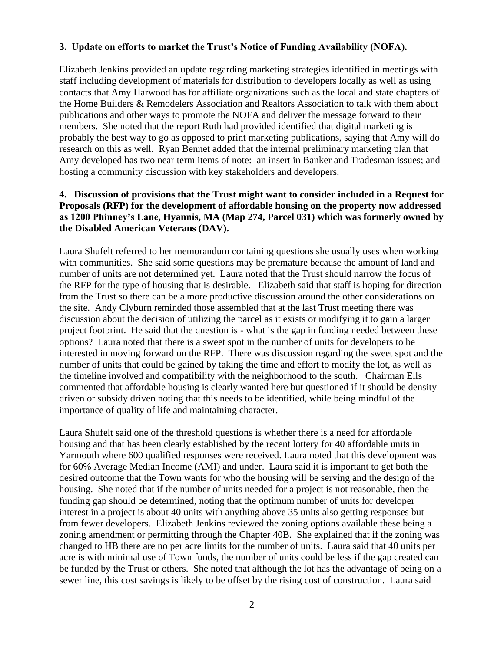#### **3. Update on efforts to market the Trust's Notice of Funding Availability (NOFA).**

Elizabeth Jenkins provided an update regarding marketing strategies identified in meetings with staff including development of materials for distribution to developers locally as well as using contacts that Amy Harwood has for affiliate organizations such as the local and state chapters of the Home Builders & Remodelers Association and Realtors Association to talk with them about publications and other ways to promote the NOFA and deliver the message forward to their members. She noted that the report Ruth had provided identified that digital marketing is probably the best way to go as opposed to print marketing publications, saying that Amy will do research on this as well. Ryan Bennet added that the internal preliminary marketing plan that Amy developed has two near term items of note: an insert in Banker and Tradesman issues; and hosting a community discussion with key stakeholders and developers.

#### **4. Discussion of provisions that the Trust might want to consider included in a Request for Proposals (RFP) for the development of affordable housing on the property now addressed as 1200 Phinney's Lane, Hyannis, MA (Map 274, Parcel 031) which was formerly owned by the Disabled American Veterans (DAV).**

Laura Shufelt referred to her memorandum containing questions she usually uses when working with communities. She said some questions may be premature because the amount of land and number of units are not determined yet. Laura noted that the Trust should narrow the focus of the RFP for the type of housing that is desirable. Elizabeth said that staff is hoping for direction from the Trust so there can be a more productive discussion around the other considerations on the site. Andy Clyburn reminded those assembled that at the last Trust meeting there was discussion about the decision of utilizing the parcel as it exists or modifying it to gain a larger project footprint. He said that the question is - what is the gap in funding needed between these options? Laura noted that there is a sweet spot in the number of units for developers to be interested in moving forward on the RFP. There was discussion regarding the sweet spot and the number of units that could be gained by taking the time and effort to modify the lot, as well as the timeline involved and compatibility with the neighborhood to the south. Chairman Ells commented that affordable housing is clearly wanted here but questioned if it should be density driven or subsidy driven noting that this needs to be identified, while being mindful of the importance of quality of life and maintaining character.

Laura Shufelt said one of the threshold questions is whether there is a need for affordable housing and that has been clearly established by the recent lottery for 40 affordable units in Yarmouth where 600 qualified responses were received. Laura noted that this development was for 60% Average Median Income (AMI) and under. Laura said it is important to get both the desired outcome that the Town wants for who the housing will be serving and the design of the housing. She noted that if the number of units needed for a project is not reasonable, then the funding gap should be determined, noting that the optimum number of units for developer interest in a project is about 40 units with anything above 35 units also getting responses but from fewer developers. Elizabeth Jenkins reviewed the zoning options available these being a zoning amendment or permitting through the Chapter 40B. She explained that if the zoning was changed to HB there are no per acre limits for the number of units. Laura said that 40 units per acre is with minimal use of Town funds, the number of units could be less if the gap created can be funded by the Trust or others. She noted that although the lot has the advantage of being on a sewer line, this cost savings is likely to be offset by the rising cost of construction. Laura said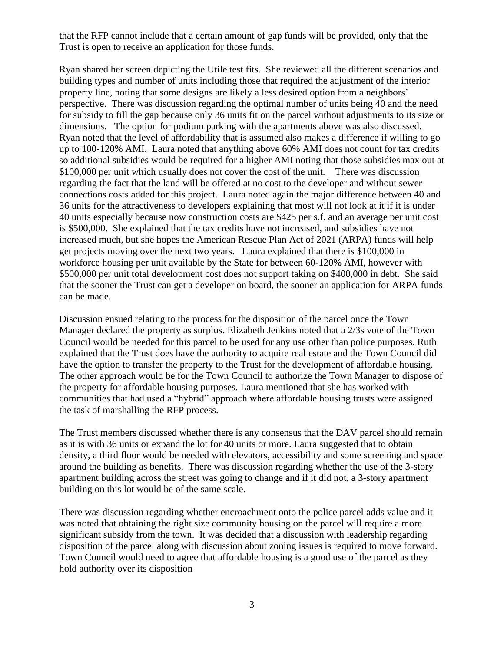that the RFP cannot include that a certain amount of gap funds will be provided, only that the Trust is open to receive an application for those funds.

Ryan shared her screen depicting the Utile test fits. She reviewed all the different scenarios and building types and number of units including those that required the adjustment of the interior property line, noting that some designs are likely a less desired option from a neighbors' perspective. There was discussion regarding the optimal number of units being 40 and the need for subsidy to fill the gap because only 36 units fit on the parcel without adjustments to its size or dimensions. The option for podium parking with the apartments above was also discussed. Ryan noted that the level of affordability that is assumed also makes a difference if willing to go up to 100-120% AMI. Laura noted that anything above 60% AMI does not count for tax credits so additional subsidies would be required for a higher AMI noting that those subsidies max out at \$100,000 per unit which usually does not cover the cost of the unit. There was discussion regarding the fact that the land will be offered at no cost to the developer and without sewer connections costs added for this project. Laura noted again the major difference between 40 and 36 units for the attractiveness to developers explaining that most will not look at it if it is under 40 units especially because now construction costs are \$425 per s.f. and an average per unit cost is \$500,000. She explained that the tax credits have not increased, and subsidies have not increased much, but she hopes the American Rescue Plan Act of 2021 (ARPA) funds will help get projects moving over the next two years. Laura explained that there is \$100,000 in workforce housing per unit available by the State for between 60-120% AMI, however with \$500,000 per unit total development cost does not support taking on \$400,000 in debt. She said that the sooner the Trust can get a developer on board, the sooner an application for ARPA funds can be made.

Discussion ensued relating to the process for the disposition of the parcel once the Town Manager declared the property as surplus. Elizabeth Jenkins noted that a 2/3s vote of the Town Council would be needed for this parcel to be used for any use other than police purposes. Ruth explained that the Trust does have the authority to acquire real estate and the Town Council did have the option to transfer the property to the Trust for the development of affordable housing. The other approach would be for the Town Council to authorize the Town Manager to dispose of the property for affordable housing purposes. Laura mentioned that she has worked with communities that had used a "hybrid" approach where affordable housing trusts were assigned the task of marshalling the RFP process.

The Trust members discussed whether there is any consensus that the DAV parcel should remain as it is with 36 units or expand the lot for 40 units or more. Laura suggested that to obtain density, a third floor would be needed with elevators, accessibility and some screening and space around the building as benefits. There was discussion regarding whether the use of the 3-story apartment building across the street was going to change and if it did not, a 3-story apartment building on this lot would be of the same scale.

There was discussion regarding whether encroachment onto the police parcel adds value and it was noted that obtaining the right size community housing on the parcel will require a more significant subsidy from the town. It was decided that a discussion with leadership regarding disposition of the parcel along with discussion about zoning issues is required to move forward. Town Council would need to agree that affordable housing is a good use of the parcel as they hold authority over its disposition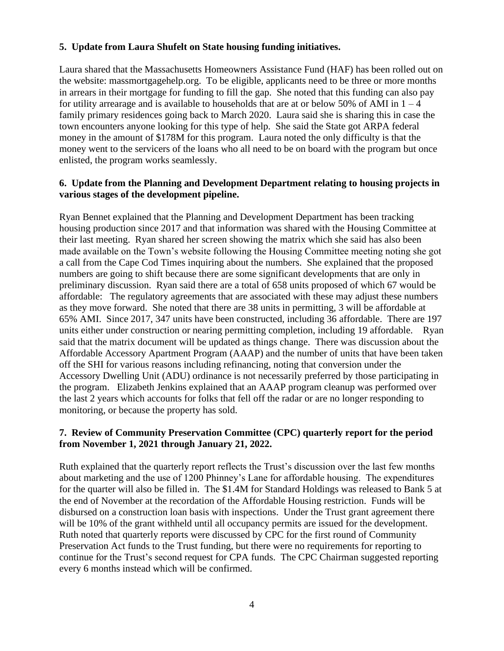#### **5. Update from Laura Shufelt on State housing funding initiatives.**

Laura shared that the Massachusetts Homeowners Assistance Fund (HAF) has been rolled out on the website: massmortgagehelp.org. To be eligible, applicants need to be three or more months in arrears in their mortgage for funding to fill the gap. She noted that this funding can also pay for utility arrearage and is available to households that are at or below 50% of AMI in  $1 - 4$ family primary residences going back to March 2020. Laura said she is sharing this in case the town encounters anyone looking for this type of help. She said the State got ARPA federal money in the amount of \$178M for this program. Laura noted the only difficulty is that the money went to the servicers of the loans who all need to be on board with the program but once enlisted, the program works seamlessly.

#### **6. Update from the Planning and Development Department relating to housing projects in various stages of the development pipeline.**

Ryan Bennet explained that the Planning and Development Department has been tracking housing production since 2017 and that information was shared with the Housing Committee at their last meeting. Ryan shared her screen showing the matrix which she said has also been made available on the Town's website following the Housing Committee meeting noting she got a call from the Cape Cod Times inquiring about the numbers. She explained that the proposed numbers are going to shift because there are some significant developments that are only in preliminary discussion. Ryan said there are a total of 658 units proposed of which 67 would be affordable: The regulatory agreements that are associated with these may adjust these numbers as they move forward. She noted that there are 38 units in permitting, 3 will be affordable at 65% AMI. Since 2017, 347 units have been constructed, including 36 affordable. There are 197 units either under construction or nearing permitting completion, including 19 affordable. Ryan said that the matrix document will be updated as things change. There was discussion about the Affordable Accessory Apartment Program (AAAP) and the number of units that have been taken off the SHI for various reasons including refinancing, noting that conversion under the Accessory Dwelling Unit (ADU) ordinance is not necessarily preferred by those participating in the program. Elizabeth Jenkins explained that an AAAP program cleanup was performed over the last 2 years which accounts for folks that fell off the radar or are no longer responding to monitoring, or because the property has sold.

#### **7. Review of Community Preservation Committee (CPC) quarterly report for the period from November 1, 2021 through January 21, 2022.**

Ruth explained that the quarterly report reflects the Trust's discussion over the last few months about marketing and the use of 1200 Phinney's Lane for affordable housing. The expenditures for the quarter will also be filled in. The \$1.4M for Standard Holdings was released to Bank 5 at the end of November at the recordation of the Affordable Housing restriction. Funds will be disbursed on a construction loan basis with inspections. Under the Trust grant agreement there will be 10% of the grant withheld until all occupancy permits are issued for the development. Ruth noted that quarterly reports were discussed by CPC for the first round of Community Preservation Act funds to the Trust funding, but there were no requirements for reporting to continue for the Trust's second request for CPA funds. The CPC Chairman suggested reporting every 6 months instead which will be confirmed.